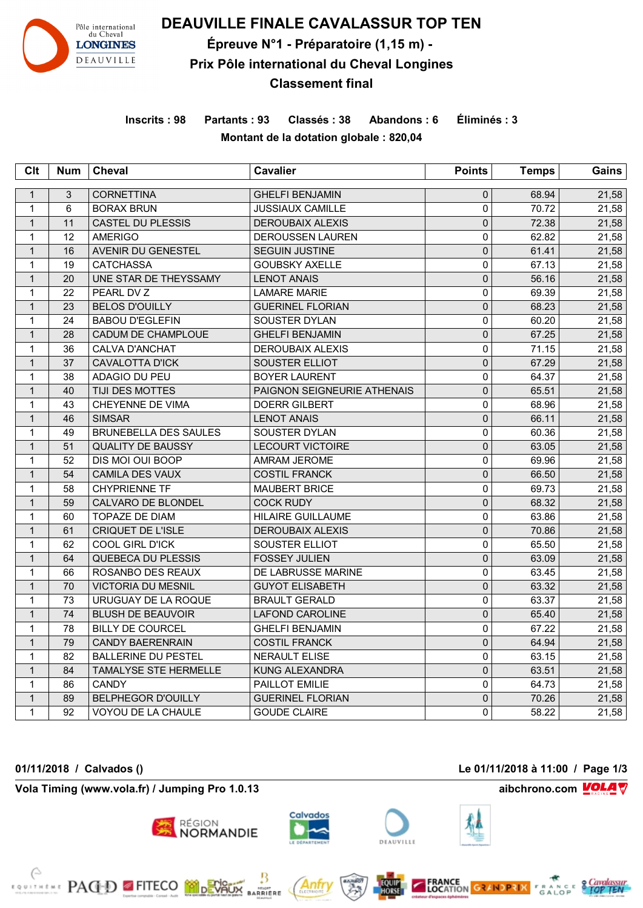

**DEAUVILLE FINALE CAVALASSUR TOP TEN**

**Épreuve N°1 - Préparatoire (1,15 m) -** 

## **Prix Pôle international du Cheval Longines**

**Classement final**

**Inscrits : 98 Partants : 93 Classés : 38 Abandons : 6 Éliminés : 3 Montant de la dotation globale : 820,04**

| Clt          | <b>Num</b> | Cheval                       | <b>Cavalier</b>             | <b>Points</b>       | <b>Temps</b> | Gains |
|--------------|------------|------------------------------|-----------------------------|---------------------|--------------|-------|
| $\mathbf{1}$ | 3          | <b>CORNETTINA</b>            | <b>GHELFI BENJAMIN</b>      | $\mathsf{O}\xspace$ | 68.94        | 21,58 |
| $\mathbf{1}$ | 6          | <b>BORAX BRUN</b>            | <b>JUSSIAUX CAMILLE</b>     | $\mathbf 0$         | 70.72        | 21,58 |
| $\mathbf{1}$ | 11         | <b>CASTEL DU PLESSIS</b>     | <b>DEROUBAIX ALEXIS</b>     | $\mathbf 0$         | 72.38        | 21,58 |
| $\mathbf{1}$ | 12         | <b>AMERIGO</b>               | <b>DEROUSSEN LAUREN</b>     | 0                   | 62.82        | 21,58 |
| $\mathbf{1}$ | 16         | AVENIR DU GENESTEL           | <b>SEGUIN JUSTINE</b>       | $\pmb{0}$           | 61.41        | 21,58 |
| $\mathbf{1}$ | 19         | <b>CATCHASSA</b>             | <b>GOUBSKY AXELLE</b>       | 0                   | 67.13        | 21,58 |
| $\mathbf{1}$ | 20         | UNE STAR DE THEYSSAMY        | <b>LENOT ANAIS</b>          | $\mathbf 0$         | 56.16        | 21,58 |
| $\mathbf{1}$ | 22         | PEARL DV Z                   | <b>LAMARE MARIE</b>         | 0                   | 69.39        | 21,58 |
| $\mathbf{1}$ | 23         | <b>BELOS D'OUILLY</b>        | <b>GUERINEL FLORIAN</b>     | 0                   | 68.23        | 21,58 |
| $\mathbf{1}$ | 24         | <b>BABOU D'EGLEFIN</b>       | SOUSTER DYLAN               | 0                   | 60.20        | 21,58 |
| $\mathbf{1}$ | 28         | CADUM DE CHAMPLOUE           | <b>GHELFI BENJAMIN</b>      | $\mathsf{O}\xspace$ | 67.25        | 21,58 |
| $\mathbf{1}$ | 36         | <b>CALVA D'ANCHAT</b>        | <b>DEROUBAIX ALEXIS</b>     | 0                   | 71.15        | 21,58 |
| $\mathbf{1}$ | 37         | CAVALOTTA D'ICK              | SOUSTER ELLIOT              | $\mathbf 0$         | 67.29        | 21,58 |
| $\mathbf{1}$ | 38         | ADAGIO DU PEU                | <b>BOYER LAURENT</b>        | 0                   | 64.37        | 21,58 |
| $\mathbf{1}$ | 40         | TIJI DES MOTTES              | PAIGNON SEIGNEURIE ATHENAIS | $\pmb{0}$           | 65.51        | 21,58 |
| $\mathbf{1}$ | 43         | CHEYENNE DE VIMA             | <b>DOERR GILBERT</b>        | 0                   | 68.96        | 21,58 |
| $\mathbf{1}$ | 46         | <b>SIMSAR</b>                | <b>LENOT ANAIS</b>          | $\pmb{0}$           | 66.11        | 21,58 |
| $\mathbf{1}$ | 49         | <b>BRUNEBELLA DES SAULES</b> | SOUSTER DYLAN               | 0                   | 60.36        | 21,58 |
| $\mathbf{1}$ | 51         | <b>QUALITY DE BAUSSY</b>     | <b>LECOURT VICTOIRE</b>     | $\mathsf 0$         | 63.05        | 21,58 |
| $\mathbf{1}$ | 52         | DIS MOI OUI BOOP             | <b>AMRAM JEROME</b>         | 0                   | 69.96        | 21,58 |
| $\mathbf{1}$ | 54         | CAMILA DES VAUX              | <b>COSTIL FRANCK</b>        | $\mathbf 0$         | 66.50        | 21,58 |
| $\mathbf{1}$ | 58         | CHYPRIENNE TF                | <b>MAUBERT BRICE</b>        | 0                   | 69.73        | 21,58 |
| $\mathbf{1}$ | 59         | <b>CALVARO DE BLONDEL</b>    | <b>COCK RUDY</b>            | $\mathbf 0$         | 68.32        | 21,58 |
| $\mathbf{1}$ | 60         | TOPAZE DE DIAM               | <b>HILAIRE GUILLAUME</b>    | 0                   | 63.86        | 21,58 |
| $\mathbf{1}$ | 61         | <b>CRIQUET DE L'ISLE</b>     | <b>DEROUBAIX ALEXIS</b>     | $\mathbf 0$         | 70.86        | 21,58 |
| 1            | 62         | COOL GIRL D'ICK              | SOUSTER ELLIOT              | 0                   | 65.50        | 21,58 |
| $\mathbf{1}$ | 64         | QUEBECA DU PLESSIS           | <b>FOSSEY JULIEN</b>        | $\pmb{0}$           | 63.09        | 21,58 |
| $\mathbf{1}$ | 66         | ROSANBO DES REAUX            | DE LABRUSSE MARINE          | $\overline{0}$      | 63.45        | 21,58 |
| $\mathbf{1}$ | 70         | <b>VICTORIA DU MESNIL</b>    | <b>GUYOT ELISABETH</b>      | $\pmb{0}$           | 63.32        | 21,58 |
| $\mathbf{1}$ | 73         | URUGUAY DE LA ROQUE          | <b>BRAULT GERALD</b>        | 0                   | 63.37        | 21,58 |
| $\mathbf{1}$ | 74         | <b>BLUSH DE BEAUVOIR</b>     | <b>LAFOND CAROLINE</b>      | $\pmb{0}$           | 65.40        | 21,58 |
| $\mathbf{1}$ | 78         | <b>BILLY DE COURCEL</b>      | <b>GHELFI BENJAMIN</b>      | 0                   | 67.22        | 21,58 |
| $\mathbf{1}$ | 79         | <b>CANDY BAERENRAIN</b>      | <b>COSTIL FRANCK</b>        | $\mathbf 0$         | 64.94        | 21,58 |
| $\mathbf{1}$ | 82         | <b>BALLERINE DU PESTEL</b>   | <b>NERAULT ELISE</b>        | 0                   | 63.15        | 21,58 |
| $\mathbf{1}$ | 84         | TAMALYSE STE HERMELLE        | <b>KUNG ALEXANDRA</b>       | $\mathbf{0}$        | 63.51        | 21,58 |
| 1            | 86         | <b>CANDY</b>                 | PAILLOT EMILIE              | 0                   | 64.73        | 21,58 |
| $\mathbf{1}$ | 89         | <b>BELPHEGOR D'OUILLY</b>    | <b>GUERINEL FLORIAN</b>     | $\pmb{0}$           | 70.26        | 21,58 |
| $\mathbf{1}$ | 92         | VOYOU DE LA CHAULE           | <b>GOUDE CLAIRE</b>         | $\mathbf 0$         | 58.22        | 21,58 |

**Vola Timing (www.vola.fr) / Jumping Pro 1.0.13 aibchrono.com VOLA** 

EDITION PACED FITECO MONTAGE







Anti

MIONT<br>RRIERE







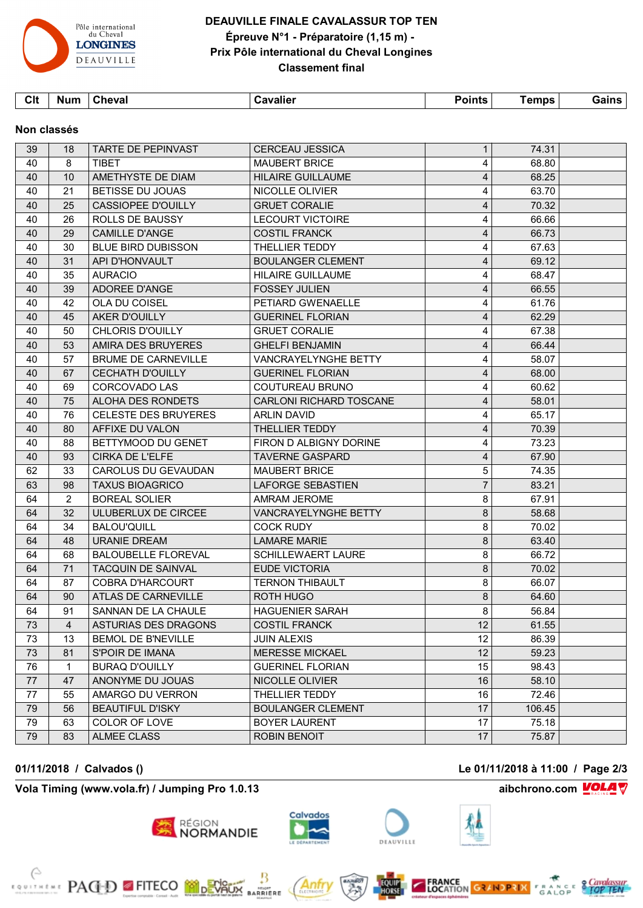

# **DEAUVILLE FINALE CAVALASSUR TOP TEN Épreuve N°1 - Préparatoire (1,15 m) - Prix Pôle international du Cheval Longines Classement final**

| Clt | Num | <b>Cheval</b> | <b>Cavalier</b> | Points $\overline{ }$ | <b>Femps</b> | Gains |  |
|-----|-----|---------------|-----------------|-----------------------|--------------|-------|--|
|     |     |               |                 |                       |              |       |  |

#### **Non classés**

| 39 | 18             | <b>TARTE DE PEPINVAST</b>   | <b>CERCEAU JESSICA</b>      | $\mathbf{1}$    | 74.31  |  |
|----|----------------|-----------------------------|-----------------------------|-----------------|--------|--|
| 40 | 8              | <b>TIBFT</b>                | <b>MAUBERT BRICE</b>        | 4               | 68.80  |  |
| 40 | 10             | AMETHYSTE DE DIAM           | <b>HILAIRE GUILLAUME</b>    | 4               | 68.25  |  |
| 40 | 21             | BETISSE DU JOUAS            | NICOLLE OLIVIER             | 4               | 63.70  |  |
| 40 | 25             | <b>CASSIOPEE D'OUILLY</b>   | <b>GRUET CORALIE</b>        | 4               | 70.32  |  |
| 40 | 26             | ROLLS DE BAUSSY             | <b>LECOURT VICTOIRE</b>     | 4               | 66.66  |  |
| 40 | 29             | <b>CAMILLE D'ANGE</b>       | <b>COSTIL FRANCK</b>        | 4               | 66.73  |  |
| 40 | 30             | <b>BLUE BIRD DUBISSON</b>   | THELLIER TEDDY              | 4               | 67.63  |  |
| 40 | 31             | API D'HONVAULT              | <b>BOULANGER CLEMENT</b>    | 4               | 69.12  |  |
| 40 | 35             | <b>AURACIO</b>              | <b>HILAIRE GUILLAUME</b>    | 4               | 68.47  |  |
| 40 | 39             | <b>ADOREE D'ANGE</b>        | <b>FOSSEY JULIEN</b>        | $\overline{4}$  | 66.55  |  |
| 40 | 42             | OLA DU COISEL               | PETIARD GWENAELLE           | 4               | 61.76  |  |
| 40 | 45             | <b>AKER D'OUILLY</b>        | <b>GUERINEL FLORIAN</b>     | 4               | 62.29  |  |
| 40 | 50             | <b>CHLORIS D'OUILLY</b>     | <b>GRUET CORALIE</b>        | 4               | 67.38  |  |
| 40 | 53             | AMIRA DES BRUYERES          | <b>GHELFI BENJAMIN</b>      | 4               | 66.44  |  |
| 40 | 57             | <b>BRUME DE CARNEVILLE</b>  | <b>VANCRAYELYNGHE BETTY</b> | 4               | 58.07  |  |
| 40 | 67             | <b>CECHATH D'OUILLY</b>     | <b>GUERINEL FLORIAN</b>     | 4               | 68.00  |  |
| 40 | 69             | CORCOVADO LAS               | COUTUREAU BRUNO             | 4               | 60.62  |  |
| 40 | 75             | ALOHA DES RONDETS           | CARLONI RICHARD TOSCANE     | 4               | 58.01  |  |
| 40 | 76             | <b>CELESTE DES BRUYERES</b> | <b>ARLIN DAVID</b>          | 4               | 65.17  |  |
| 40 | 80             | AFFIXE DU VALON             | THELLIER TEDDY              | 4               | 70.39  |  |
| 40 | 88             | BETTYMOOD DU GENET          | FIRON D ALBIGNY DORINE      | 4               | 73.23  |  |
| 40 | 93             | <b>CIRKA DE L'ELFE</b>      | <b>TAVERNE GASPARD</b>      | 4               | 67.90  |  |
| 62 | 33             | <b>CAROLUS DU GEVAUDAN</b>  | <b>MAUBERT BRICE</b>        | 5               | 74.35  |  |
| 63 | 98             | <b>TAXUS BIOAGRICO</b>      | <b>LAFORGE SEBASTIEN</b>    | $\overline{7}$  | 83.21  |  |
| 64 | $\overline{2}$ | <b>BOREAL SOLIER</b>        | AMRAM JEROME                | 8               | 67.91  |  |
| 64 | 32             | ULUBERLUX DE CIRCEE         | VANCRAYELYNGHE BETTY        | 8               | 58.68  |  |
| 64 | 34             | <b>BALOU'QUILL</b>          | <b>COCK RUDY</b>            | 8               | 70.02  |  |
| 64 | 48             | <b>URANIE DREAM</b>         | <b>LAMARE MARIE</b>         | 8               | 63.40  |  |
| 64 | 68             | <b>BALOUBELLE FLOREVAL</b>  | <b>SCHILLEWAERT LAURE</b>   | 8               | 66.72  |  |
| 64 | 71             | <b>TACQUIN DE SAINVAL</b>   | <b>EUDE VICTORIA</b>        | 8               | 70.02  |  |
| 64 | 87             | <b>COBRA D'HARCOURT</b>     | <b>TERNON THIBAULT</b>      | 8               | 66.07  |  |
| 64 | 90             | ATLAS DE CARNEVILLE         | ROTH HUGO                   | 8               | 64.60  |  |
| 64 | 91             | SANNAN DE LA CHAULE         | <b>HAGUENIER SARAH</b>      | 8               | 56.84  |  |
| 73 | $\overline{4}$ | ASTURIAS DES DRAGONS        | <b>COSTIL FRANCK</b>        | 12              | 61.55  |  |
| 73 | 13             | <b>BEMOL DE B'NEVILLE</b>   | <b>JUIN ALEXIS</b>          | 12 <sub>2</sub> | 86.39  |  |
| 73 | 81             | S'POIR DE IMANA             | <b>MERESSE MICKAEL</b>      | 12              | 59.23  |  |
| 76 | 1              | <b>BURAQ D'OUILLY</b>       | <b>GUERINEL FLORIAN</b>     | 15              | 98.43  |  |
| 77 | 47             | ANONYME DU JOUAS            | NICOLLE OLIVIER             | 16              | 58.10  |  |
| 77 | 55             | AMARGO DU VERRON            | THELLIER TEDDY              | 16              | 72.46  |  |
| 79 | 56             | <b>BEAUTIFUL D'ISKY</b>     | <b>BOULANGER CLEMENT</b>    | 17              | 106.45 |  |
| 79 | 63             | COLOR OF LOVE               | <b>BOYER LAURENT</b>        | 17              | 75.18  |  |
| 79 | 83             | <b>ALMEE CLASS</b>          | <b>ROBIN BENOIT</b>         | 17              | 75.87  |  |

**Vola Timing (www.vola.fr) / Jumping Pro 1.0.13 aibchrono.com VOLA** 

**EXAMPLE PACED EFITECO MODEVALIX** 



Anti

**MIGHT**<br>ARRIERE

région<br>**NORMANDIE**